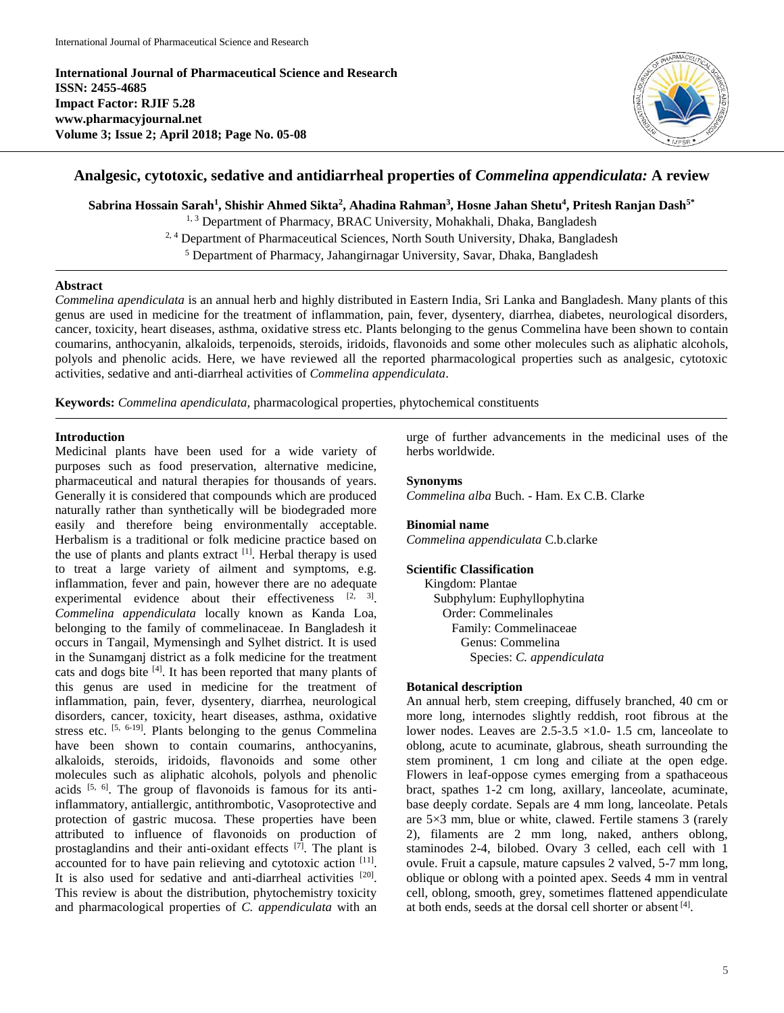**International Journal of Pharmaceutical Science and Research ISSN: 2455-4685 Impact Factor: RJIF 5.28 www.pharmacyjournal.net Volume 3; Issue 2; April 2018; Page No. 05-08**



# **Analgesic, cytotoxic, sedative and antidiarrheal properties of** *Commelina appendiculata:* **A review**

**Sabrina Hossain Sarah<sup>1</sup> , Shishir Ahmed Sikta<sup>2</sup> , Ahadina Rahman<sup>3</sup> , Hosne Jahan Shetu<sup>4</sup> , Pritesh Ranjan Dash5\***

<sup>1, 3</sup> Department of Pharmacy, BRAC University, Mohakhali, Dhaka, Bangladesh <sup>2, 4</sup> Department of Pharmaceutical Sciences, North South University, Dhaka, Bangladesh

<sup>5</sup> Department of Pharmacy, Jahangirnagar University, Savar, Dhaka, Bangladesh

# **Abstract**

*Commelina apendiculata* is an annual herb and highly distributed in Eastern India, Sri Lanka and Bangladesh. Many plants of this genus are used in medicine for the treatment of inflammation, pain, fever, dysentery, diarrhea, diabetes, neurological disorders, cancer, toxicity, heart diseases, asthma, oxidative stress etc. Plants belonging to the genus Commelina have been shown to contain coumarins, anthocyanin, alkaloids, terpenoids, steroids, iridoids, flavonoids and some other molecules such as aliphatic alcohols, polyols and phenolic acids. Here, we have reviewed all the reported pharmacological properties such as analgesic, cytotoxic activities, sedative and anti-diarrheal activities of *Commelina appendiculata*.

**Keywords:** *Commelina apendiculata,* pharmacological properties, phytochemical constituents

# **Introduction**

Medicinal plants have been used for a wide variety of purposes such as food preservation, alternative medicine, pharmaceutical and natural therapies for thousands of years. Generally it is considered that compounds which are produced naturally rather than synthetically will be biodegraded more easily and therefore being environmentally acceptable. Herbalism is a traditional or folk medicine practice based on the use of plants and plants extract  $[1]$ . Herbal therapy is used to treat a large variety of ailment and symptoms, e.g. inflammation, fever and pain, however there are no adequate experimental evidence about their effectiveness  $[2, 3]$ . *Commelina appendiculata* locally known as Kanda Loa, belonging to the family of commelinaceae. In Bangladesh it occurs in Tangail, Mymensingh and Sylhet district. It is used in the Sunamganj district as a folk medicine for the treatment cats and dogs bite [4]. It has been reported that many plants of this genus are used in medicine for the treatment of inflammation, pain, fever, dysentery, diarrhea, neurological disorders, cancer, toxicity, heart diseases, asthma, oxidative stress etc.  $[5, 6-19]$ . Plants belonging to the genus Commelina have been shown to contain coumarins, anthocyanins, alkaloids, steroids, iridoids, flavonoids and some other molecules such as aliphatic alcohols, polyols and phenolic acids  $[5, 6]$ . The group of flavonoids is famous for its antiinflammatory, antiallergic, antithrombotic, Vasoprotective and protection of gastric mucosa. These properties have been attributed to influence of flavonoids on production of prostaglandins and their anti-oxidant effects [7]. The plant is accounted for to have pain relieving and cytotoxic action [11]. It is also used for sedative and anti-diarrheal activities [20]. This review is about the distribution, phytochemistry toxicity and pharmacological properties of *C. appendiculata* with an

urge of further advancements in the medicinal uses of the herbs worldwide.

# **Synonyms**

*Commelina alba* Buch. - Ham. Ex C.B. Clarke

### **Binomial name**

*Commelina appendiculata* C.b.clarke

### **Scientific Classification**

Kingdom: Plantae Subphylum: Euphyllophytina Order: Commelinales Family: Commelinaceae Genus: Commelina Species: *C. appendiculata*

# **Botanical description**

An annual herb, stem creeping, diffusely branched, 40 cm or more long, internodes slightly reddish, root fibrous at the lower nodes. Leaves are  $2.5 - 3.5 \times 1.0 - 1.5$  cm, lanceolate to oblong, acute to acuminate, glabrous, sheath surrounding the stem prominent, 1 cm long and ciliate at the open edge. Flowers in leaf-oppose cymes emerging from a spathaceous bract, spathes 1-2 cm long, axillary, lanceolate, acuminate, base deeply cordate. Sepals are 4 mm long, lanceolate. Petals are 5×3 mm, blue or white, clawed. Fertile stamens 3 (rarely 2), filaments are 2 mm long, naked, anthers oblong, staminodes 2-4, bilobed. Ovary 3 celled, each cell with 1 ovule. Fruit a capsule, mature capsules 2 valved, 5-7 mm long, oblique or oblong with a pointed apex. Seeds 4 mm in ventral cell, oblong, smooth, grey, sometimes flattened appendiculate at both ends, seeds at the dorsal cell shorter or absent [4].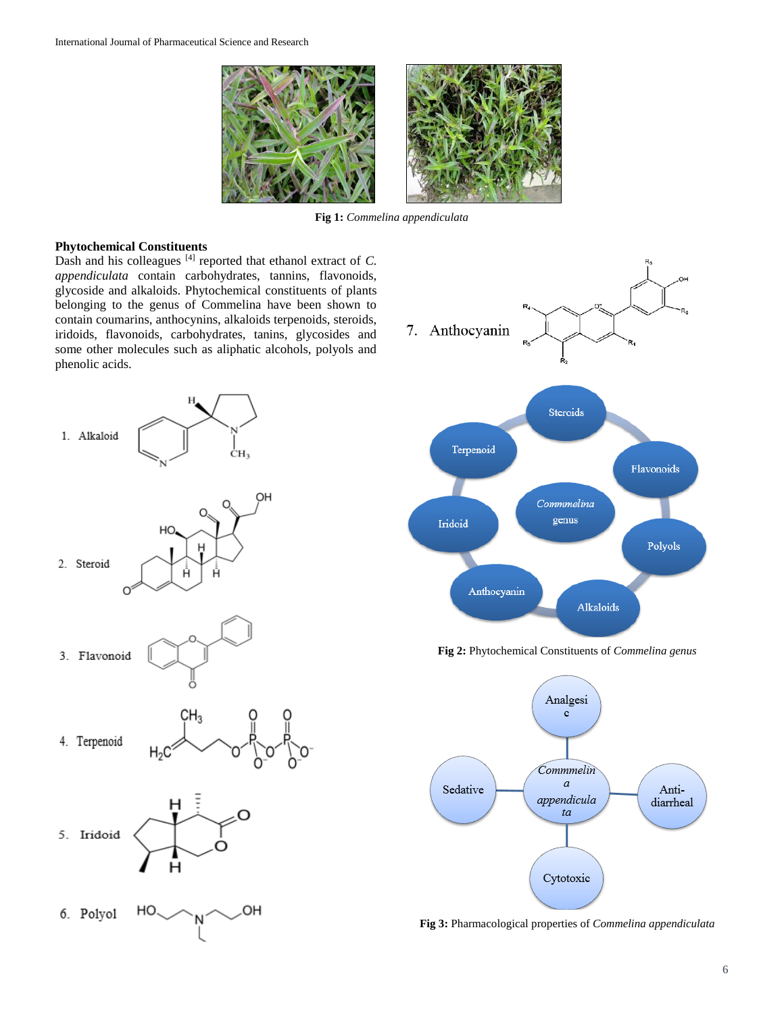

**Fig 1:** *Commelina appendiculata*

# **Phytochemical Constituents**

Dash and his colleagues [4] reported that ethanol extract of *C. appendiculata* contain carbohydrates, tannins, flavonoids, glycoside and alkaloids. Phytochemical constituents of plants belonging to the genus of Commelina have been shown to contain coumarins, anthocynins, alkaloids terpenoids, steroids, iridoids, flavonoids, carbohydrates, tanins, glycosides and some other molecules such as aliphatic alcohols, polyols and phenolic acids.





**Fig 2:** Phytochemical Constituents of *Commelina genus*



**Fig 3:** Pharmacological properties of *Commelina appendiculata*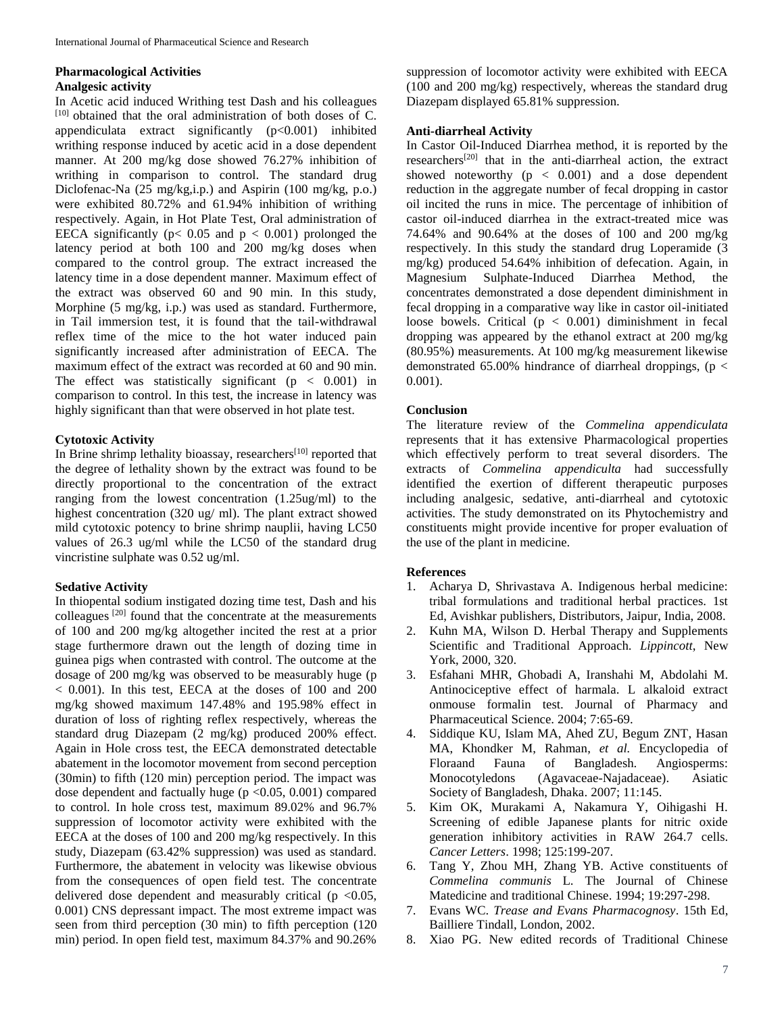# **Pharmacological Activities Analgesic activity**

In Acetic acid induced Writhing test Dash and his colleagues  $[10]$  obtained that the oral administration of both doses of C. appendiculata extract significantly (p<0.001) inhibited writhing response induced by acetic acid in a dose dependent manner. At 200 mg/kg dose showed 76.27% inhibition of writhing in comparison to control. The standard drug Diclofenac-Na (25 mg/kg,i.p.) and Aspirin (100 mg/kg, p.o.) were exhibited 80.72% and 61.94% inhibition of writhing respectively. Again, in Hot Plate Test, Oral administration of EECA significantly ( $p < 0.05$  and  $p < 0.001$ ) prolonged the latency period at both 100 and 200 mg/kg doses when compared to the control group. The extract increased the latency time in a dose dependent manner. Maximum effect of the extract was observed 60 and 90 min. In this study, Morphine (5 mg/kg, i.p.) was used as standard. Furthermore, in Tail immersion test, it is found that the tail-withdrawal reflex time of the mice to the hot water induced pain significantly increased after administration of EECA. The maximum effect of the extract was recorded at 60 and 90 min. The effect was statistically significant  $(p < 0.001)$  in comparison to control. In this test, the increase in latency was highly significant than that were observed in hot plate test.

# **Cytotoxic Activity**

In Brine shrimp lethality bioassay, researchers<sup>[10]</sup> reported that the degree of lethality shown by the extract was found to be directly proportional to the concentration of the extract ranging from the lowest concentration (1.25ug/ml) to the highest concentration (320 ug/ ml). The plant extract showed mild cytotoxic potency to brine shrimp nauplii, having LC50 values of 26.3 ug/ml while the LC50 of the standard drug vincristine sulphate was 0.52 ug/ml.

### **Sedative Activity**

In thiopental sodium instigated dozing time test, Dash and his colleagues [20] found that the concentrate at the measurements of 100 and 200 mg/kg altogether incited the rest at a prior stage furthermore drawn out the length of dozing time in guinea pigs when contrasted with control. The outcome at the dosage of 200 mg/kg was observed to be measurably huge (p < 0.001). In this test, EECA at the doses of 100 and 200 mg/kg showed maximum 147.48% and 195.98% effect in duration of loss of righting reflex respectively, whereas the standard drug Diazepam (2 mg/kg) produced 200% effect. Again in Hole cross test, the EECA demonstrated detectable abatement in the locomotor movement from second perception (30min) to fifth (120 min) perception period. The impact was dose dependent and factually huge  $(p \le 0.05, 0.001)$  compared to control. In hole cross test, maximum 89.02% and 96.7% suppression of locomotor activity were exhibited with the EECA at the doses of 100 and 200 mg/kg respectively. In this study, Diazepam (63.42% suppression) was used as standard. Furthermore, the abatement in velocity was likewise obvious from the consequences of open field test. The concentrate delivered dose dependent and measurably critical ( $p \le 0.05$ , 0.001) CNS depressant impact. The most extreme impact was seen from third perception (30 min) to fifth perception (120 min) period. In open field test, maximum 84.37% and 90.26%

suppression of locomotor activity were exhibited with EECA (100 and 200 mg/kg) respectively, whereas the standard drug Diazepam displayed 65.81% suppression.

### **Anti-diarrheal Activity**

In Castor Oil-Induced Diarrhea method, it is reported by the researchers[20] that in the anti-diarrheal action, the extract showed noteworthy  $(p < 0.001)$  and a dose dependent reduction in the aggregate number of fecal dropping in castor oil incited the runs in mice. The percentage of inhibition of castor oil-induced diarrhea in the extract-treated mice was 74.64% and 90.64% at the doses of 100 and 200 mg/kg respectively. In this study the standard drug Loperamide (3 mg/kg) produced 54.64% inhibition of defecation. Again, in Magnesium Sulphate-Induced Diarrhea Method, the concentrates demonstrated a dose dependent diminishment in fecal dropping in a comparative way like in castor oil-initiated loose bowels. Critical  $(p < 0.001)$  diminishment in fecal dropping was appeared by the ethanol extract at 200 mg/kg (80.95%) measurements. At 100 mg/kg measurement likewise demonstrated 65.00% hindrance of diarrheal droppings, ( $p <$ 0.001).

### **Conclusion**

The literature review of the *Commelina appendiculata* represents that it has extensive Pharmacological properties which effectively perform to treat several disorders. The extracts of *Commelina appendiculta* had successfully identified the exertion of different therapeutic purposes including analgesic, sedative, anti-diarrheal and cytotoxic activities. The study demonstrated on its Phytochemistry and constituents might provide incentive for proper evaluation of the use of the plant in medicine.

### **References**

- 1. Acharya D, Shrivastava A. Indigenous herbal medicine: tribal formulations and traditional herbal practices. 1st Ed, Avishkar publishers, Distributors, Jaipur, India, 2008.
- 2. Kuhn MA, Wilson D. Herbal Therapy and Supplements Scientific and Traditional Approach. *Lippincott*, New York, 2000, 320.
- 3. Esfahani MHR, Ghobadi A, Iranshahi M, Abdolahi M. Antinociceptive effect of harmala. L alkaloid extract onmouse formalin test. Journal of Pharmacy and Pharmaceutical Science. 2004; 7:65-69.
- 4. Siddique KU, Islam MA, Ahed ZU, Begum ZNT, Hasan MA, Khondker M, Rahman, *et al.* Encyclopedia of Floraand Fauna of Bangladesh. Angiosperms: Monocotyledons (Agavaceae-Najadaceae). Asiatic Society of Bangladesh, Dhaka. 2007; 11:145.
- 5. Kim OK, Murakami A, Nakamura Y, Oihigashi H. Screening of edible Japanese plants for nitric oxide generation inhibitory activities in RAW 264.7 cells. *Cancer Letters*. 1998; 125:199-207.
- 6. Tang Y, Zhou MH, Zhang YB. Active constituents of *Commelina communis* L. The Journal of Chinese Matedicine and traditional Chinese. 1994; 19:297-298.
- 7. Evans WC. *Trease and Evans Pharmacognosy*. 15th Ed, Bailliere Tindall, London, 2002.
- 8. Xiao PG. New edited records of Traditional Chinese